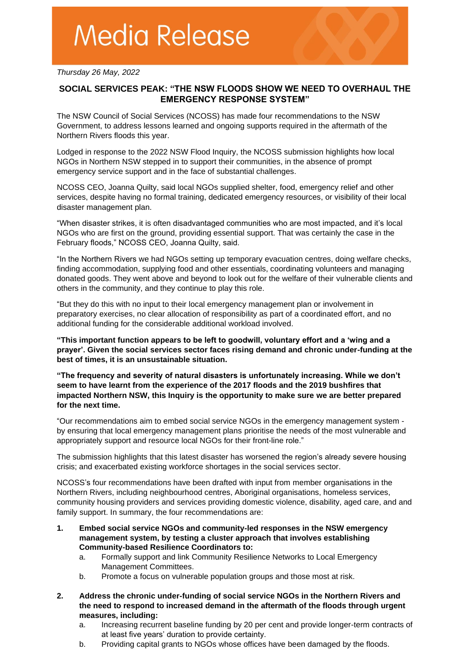*Thursday 26 May, 2022*

## **SOCIAL SERVICES PEAK: "THE NSW FLOODS SHOW WE NEED TO OVERHAUL THE EMERGENCY RESPONSE SYSTEM"**

The NSW Council of Social Services (NCOSS) has made four recommendations to the NSW Government, to address lessons learned and ongoing supports required in the aftermath of the Northern Rivers floods this year.

Lodged in response to the 2022 NSW Flood Inquiry, the NCOSS submission highlights how local NGOs in Northern NSW stepped in to support their communities, in the absence of prompt emergency service support and in the face of substantial challenges.

NCOSS CEO, Joanna Quilty, said local NGOs supplied shelter, food, emergency relief and other services, despite having no formal training, dedicated emergency resources, or visibility of their local disaster management plan.

"When disaster strikes, it is often disadvantaged communities who are most impacted, and it's local NGOs who are first on the ground, providing essential support. That was certainly the case in the February floods," NCOSS CEO, Joanna Quilty, said.

"In the Northern Rivers we had NGOs setting up temporary evacuation centres, doing welfare checks, finding accommodation, supplying food and other essentials, coordinating volunteers and managing donated goods. They went above and beyond to look out for the welfare of their vulnerable clients and others in the community, and they continue to play this role.

"But they do this with no input to their local emergency management plan or involvement in preparatory exercises, no clear allocation of responsibility as part of a coordinated effort, and no additional funding for the considerable additional workload involved.

**"This important function appears to be left to goodwill, voluntary effort and a 'wing and a prayer'. Given the social services sector faces rising demand and chronic under-funding at the best of times, it is an unsustainable situation.** 

**"The frequency and severity of natural disasters is unfortunately increasing. While we don't seem to have learnt from the experience of the 2017 floods and the 2019 bushfires that impacted Northern NSW, this Inquiry is the opportunity to make sure we are better prepared for the next time.** 

"Our recommendations aim to embed social service NGOs in the emergency management system by ensuring that local emergency management plans prioritise the needs of the most vulnerable and appropriately support and resource local NGOs for their front-line role."

The submission highlights that this latest disaster has worsened the region's already severe housing crisis; and exacerbated existing workforce shortages in the social services sector.

NCOSS's four recommendations have been drafted with input from member organisations in the Northern Rivers, including neighbourhood centres, Aboriginal organisations, homeless services, community housing providers and services providing domestic violence, disability, aged care, and and family support. In summary, the four recommendations are:

- **1. Embed social service NGOs and community-led responses in the NSW emergency management system, by testing a cluster approach that involves establishing Community-based Resilience Coordinators to:** 
	- a. Formally support and link Community Resilience Networks to Local Emergency Management Committees.
	- b. Promote a focus on vulnerable population groups and those most at risk.
- **2. Address the chronic under-funding of social service NGOs in the Northern Rivers and the need to respond to increased demand in the aftermath of the floods through urgent measures, including:** 
	- a. Increasing recurrent baseline funding by 20 per cent and provide longer-term contracts of at least five years' duration to provide certainty.
	- b. Providing capital grants to NGOs whose offices have been damaged by the floods.